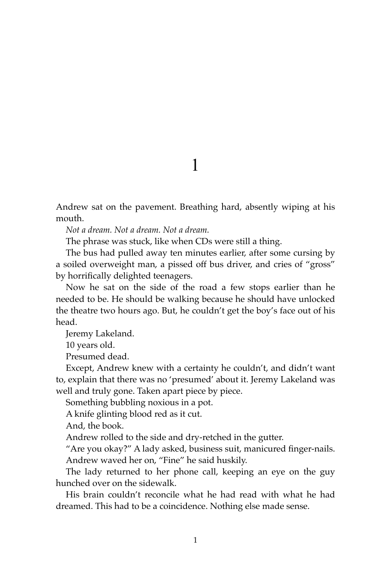Andrew sat on the pavement. Breathing hard, absently wiping at his mouth.

*Not a dream. Not a dream. Not a dream.*

The phrase was stuck, like when CDs were still a thing.

The bus had pulled away ten minutes earlier, after some cursing by a soiled overweight man, a pissed off bus driver, and cries of "gross" by horrifically delighted teenagers.

Now he sat on the side of the road a few stops earlier than he needed to be. He should be walking because he should have unlocked the theatre two hours ago. But, he couldn't get the boy's face out of his head.

Jeremy Lakeland.

10 years old.

Presumed dead.

Except, Andrew knew with a certainty he couldn't, and didn't want to, explain that there was no 'presumed' about it. Jeremy Lakeland was well and truly gone. Taken apart piece by piece.

Something bubbling noxious in a pot.

A knife glinting blood red as it cut.

And, the book.

Andrew rolled to the side and dry-retched in the gutter.

"Are you okay?" A lady asked, business suit, manicured finger-nails. Andrew waved her on, "Fine" he said huskily.

The lady returned to her phone call, keeping an eye on the guy hunched over on the sidewalk.

His brain couldn't reconcile what he had read with what he had dreamed. This had to be a coincidence. Nothing else made sense.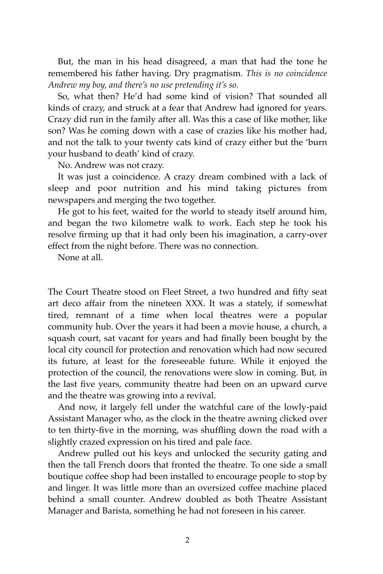But, the man in his head disagreed, a man that had the tone he remembered his father having. Dry pragmatism. *This is no coincidence Andrew my boy, and there's no use pretending it's so.*

So, what then? He'd had some kind of vision? That sounded all kinds of crazy, and struck at a fear that Andrew had ignored for years. Crazy did run in the family after all. Was this a case of like mother, like son? Was he coming down with a case of crazies like his mother had, and not the talk to your twenty cats kind of crazy either but the 'burn your husband to death' kind of crazy.

No. Andrew was not crazy.

It was just a coincidence. A crazy dream combined with a lack of sleep and poor nutrition and his mind taking pictures from newspapers and merging the two together.

He got to his feet, waited for the world to steady itself around him, and began the two kilometre walk to work. Each step he took his resolve firming up that it had only been his imagination, a carry-over effect from the night before. There was no connection.

None at all.

The Court Theatre stood on Fleet Street, a two hundred and fifty seat art deco affair from the nineteen XXX. It was a stately, if somewhat tired, remnant of a time when local theatres were a popular community hub. Over the years it had been a movie house, a church, a squash court, sat vacant for years and had finally been bought by the local city council for protection and renovation which had now secured its future, at least for the foreseeable future. While it enjoyed the protection of the council, the renovations were slow in coming. But, in the last five years, community theatre had been on an upward curve and the theatre was growing into a revival.

And now, it largely fell under the watchful care of the lowly-paid Assistant Manager who, as the clock in the theatre awning clicked over to ten thirty-five in the morning, was shuffling down the road with a slightly crazed expression on his tired and pale face.

Andrew pulled out his keys and unlocked the security gating and then the tall French doors that fronted the theatre. To one side a small boutique coffee shop had been installed to encourage people to stop by and linger. It was little more than an oversized coffee machine placed behind a small counter. Andrew doubled as both Theatre Assistant Manager and Barista, something he had not foreseen in his career.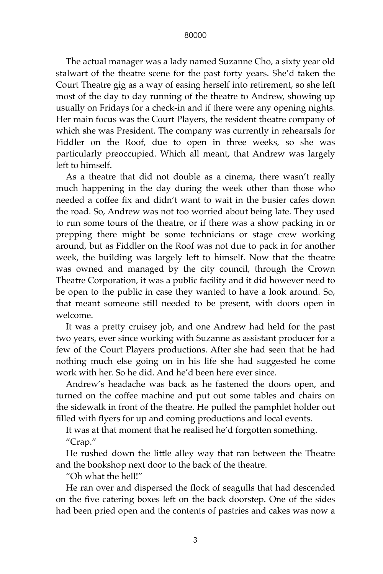The actual manager was a lady named Suzanne Cho, a sixty year old stalwart of the theatre scene for the past forty years. She'd taken the Court Theatre gig as a way of easing herself into retirement, so she left most of the day to day running of the theatre to Andrew, showing up usually on Fridays for a check-in and if there were any opening nights. Her main focus was the Court Players, the resident theatre company of which she was President. The company was currently in rehearsals for Fiddler on the Roof, due to open in three weeks, so she was particularly preoccupied. Which all meant, that Andrew was largely left to himself.

As a theatre that did not double as a cinema, there wasn't really much happening in the day during the week other than those who needed a coffee fix and didn't want to wait in the busier cafes down the road. So, Andrew was not too worried about being late. They used to run some tours of the theatre, or if there was a show packing in or prepping there might be some technicians or stage crew working around, but as Fiddler on the Roof was not due to pack in for another week, the building was largely left to himself. Now that the theatre was owned and managed by the city council, through the Crown Theatre Corporation, it was a public facility and it did however need to be open to the public in case they wanted to have a look around. So, that meant someone still needed to be present, with doors open in welcome.

It was a pretty cruisey job, and one Andrew had held for the past two years, ever since working with Suzanne as assistant producer for a few of the Court Players productions. After she had seen that he had nothing much else going on in his life she had suggested he come work with her. So he did. And he'd been here ever since.

Andrew's headache was back as he fastened the doors open, and turned on the coffee machine and put out some tables and chairs on the sidewalk in front of the theatre. He pulled the pamphlet holder out filled with flyers for up and coming productions and local events.

It was at that moment that he realised he'd forgotten something. "Crap."

He rushed down the little alley way that ran between the Theatre and the bookshop next door to the back of the theatre.

"Oh what the hell!"

He ran over and dispersed the flock of seagulls that had descended on the five catering boxes left on the back doorstep. One of the sides had been pried open and the contents of pastries and cakes was now a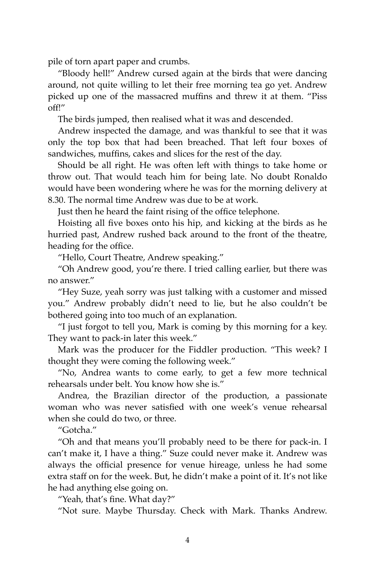pile of torn apart paper and crumbs.

"Bloody hell!" Andrew cursed again at the birds that were dancing around, not quite willing to let their free morning tea go yet. Andrew picked up one of the massacred muffins and threw it at them. "Piss off!"

The birds jumped, then realised what it was and descended.

Andrew inspected the damage, and was thankful to see that it was only the top box that had been breached. That left four boxes of sandwiches, muffins, cakes and slices for the rest of the day.

Should be all right. He was often left with things to take home or throw out. That would teach him for being late. No doubt Ronaldo would have been wondering where he was for the morning delivery at 8.30. The normal time Andrew was due to be at work.

Just then he heard the faint rising of the office telephone.

Hoisting all five boxes onto his hip, and kicking at the birds as he hurried past, Andrew rushed back around to the front of the theatre, heading for the office.

"Hello, Court Theatre, Andrew speaking."

"Oh Andrew good, you're there. I tried calling earlier, but there was no answer."

"Hey Suze, yeah sorry was just talking with a customer and missed you." Andrew probably didn't need to lie, but he also couldn't be bothered going into too much of an explanation.

"I just forgot to tell you, Mark is coming by this morning for a key. They want to pack-in later this week."

Mark was the producer for the Fiddler production. "This week? I thought they were coming the following week."

"No, Andrea wants to come early, to get a few more technical rehearsals under belt. You know how she is."

Andrea, the Brazilian director of the production, a passionate woman who was never satisfied with one week's venue rehearsal when she could do two, or three.

"Gotcha."

"Oh and that means you'll probably need to be there for pack-in. I can't make it, I have a thing." Suze could never make it. Andrew was always the official presence for venue hireage, unless he had some extra staff on for the week. But, he didn't make a point of it. It's not like he had anything else going on.

"Yeah, that's fine. What day?"

"Not sure. Maybe Thursday. Check with Mark. Thanks Andrew.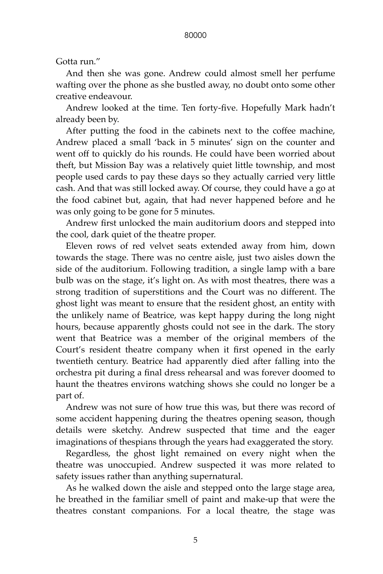## Gotta run."

And then she was gone. Andrew could almost smell her perfume wafting over the phone as she bustled away, no doubt onto some other creative endeavour.

Andrew looked at the time. Ten forty-five. Hopefully Mark hadn't already been by.

After putting the food in the cabinets next to the coffee machine, Andrew placed a small 'back in 5 minutes' sign on the counter and went off to quickly do his rounds. He could have been worried about theft, but Mission Bay was a relatively quiet little township, and most people used cards to pay these days so they actually carried very little cash. And that was still locked away. Of course, they could have a go at the food cabinet but, again, that had never happened before and he was only going to be gone for 5 minutes.

Andrew first unlocked the main auditorium doors and stepped into the cool, dark quiet of the theatre proper.

Eleven rows of red velvet seats extended away from him, down towards the stage. There was no centre aisle, just two aisles down the side of the auditorium. Following tradition, a single lamp with a bare bulb was on the stage, it's light on. As with most theatres, there was a strong tradition of superstitions and the Court was no different. The ghost light was meant to ensure that the resident ghost, an entity with the unlikely name of Beatrice, was kept happy during the long night hours, because apparently ghosts could not see in the dark. The story went that Beatrice was a member of the original members of the Court's resident theatre company when it first opened in the early twentieth century. Beatrice had apparently died after falling into the orchestra pit during a final dress rehearsal and was forever doomed to haunt the theatres environs watching shows she could no longer be a part of.

Andrew was not sure of how true this was, but there was record of some accident happening during the theatres opening season, though details were sketchy. Andrew suspected that time and the eager imaginations of thespians through the years had exaggerated the story.

Regardless, the ghost light remained on every night when the theatre was unoccupied. Andrew suspected it was more related to safety issues rather than anything supernatural.

As he walked down the aisle and stepped onto the large stage area, he breathed in the familiar smell of paint and make-up that were the theatres constant companions. For a local theatre, the stage was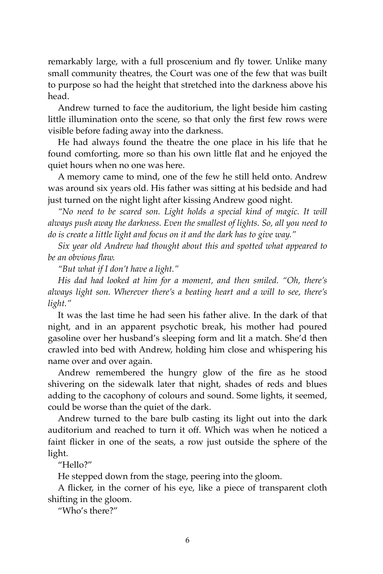remarkably large, with a full proscenium and fly tower. Unlike many small community theatres, the Court was one of the few that was built to purpose so had the height that stretched into the darkness above his head.

Andrew turned to face the auditorium, the light beside him casting little illumination onto the scene, so that only the first few rows were visible before fading away into the darkness.

He had always found the theatre the one place in his life that he found comforting, more so than his own little flat and he enjoyed the quiet hours when no one was here.

A memory came to mind, one of the few he still held onto. Andrew was around six years old. His father was sitting at his bedside and had just turned on the night light after kissing Andrew good night.

*"No need to be scared son. Light holds a special kind of magic. It will always push away the darkness. Even the smallest of lights. So, all you need to do is create a little light and focus on it and the dark has to give way."*

*Six year old Andrew had thought about this and spotted what appeared to be an obvious flaw.*

*"But what if I don't have a light."*

*His dad had looked at him for a moment, and then smiled. "Oh, there's always light son. Wherever there's a beating heart and a will to see, there's light."*

It was the last time he had seen his father alive. In the dark of that night, and in an apparent psychotic break, his mother had poured gasoline over her husband's sleeping form and lit a match. She'd then crawled into bed with Andrew, holding him close and whispering his name over and over again.

Andrew remembered the hungry glow of the fire as he stood shivering on the sidewalk later that night, shades of reds and blues adding to the cacophony of colours and sound. Some lights, it seemed, could be worse than the quiet of the dark.

Andrew turned to the bare bulb casting its light out into the dark auditorium and reached to turn it off. Which was when he noticed a faint flicker in one of the seats, a row just outside the sphere of the light.

"Hello?"

He stepped down from the stage, peering into the gloom.

A flicker, in the corner of his eye, like a piece of transparent cloth shifting in the gloom.

"Who's there?"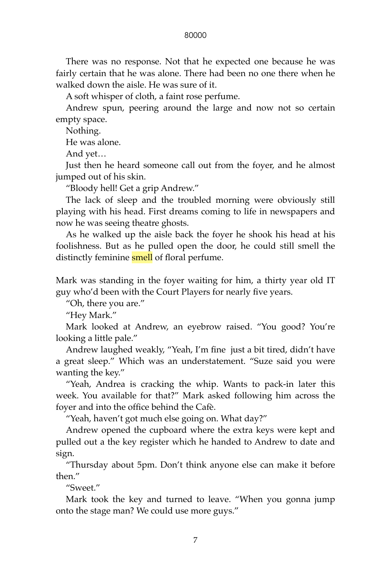There was no response. Not that he expected one because he was fairly certain that he was alone. There had been no one there when he walked down the aisle. He was sure of it.

A soft whisper of cloth, a faint rose perfume.

Andrew spun, peering around the large and now not so certain empty space.

Nothing.

He was alone.

And yet…

Just then he heard someone call out from the foyer, and he almost jumped out of his skin.

"Bloody hell! Get a grip Andrew."

The lack of sleep and the troubled morning were obviously still playing with his head. First dreams coming to life in newspapers and now he was seeing theatre ghosts.

As he walked up the aisle back the foyer he shook his head at his foolishness. But as he pulled open the door, he could still smell the distinctly feminine **smell** of floral perfume.

Mark was standing in the foyer waiting for him, a thirty year old IT guy who'd been with the Court Players for nearly five years.

"Oh, there you are."

"Hey Mark."

Mark looked at Andrew, an eyebrow raised. "You good? You're looking a little pale."

Andrew laughed weakly, "Yeah, I'm fine just a bit tired, didn't have a great sleep." Which was an understatement. "Suze said you were wanting the key."

"Yeah, Andrea is cracking the whip. Wants to pack-in later this week. You available for that?" Mark asked following him across the foyer and into the office behind the Cafè.

"Yeah, haven't got much else going on. What day?"

Andrew opened the cupboard where the extra keys were kept and pulled out a the key register which he handed to Andrew to date and sign.

"Thursday about 5pm. Don't think anyone else can make it before then."

"Sweet."

Mark took the key and turned to leave. "When you gonna jump onto the stage man? We could use more guys."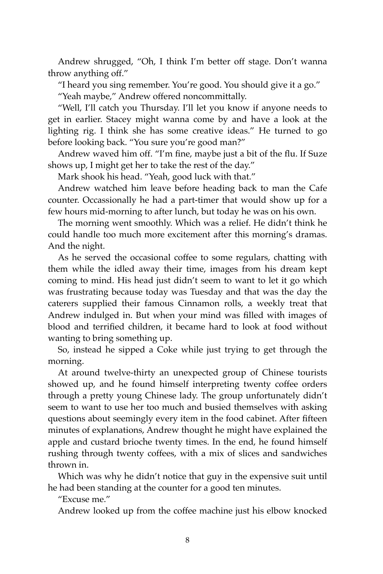Andrew shrugged, "Oh, I think I'm better off stage. Don't wanna throw anything off."

"I heard you sing remember. You're good. You should give it a go." "Yeah maybe," Andrew offered noncommittally.

"Well, I'll catch you Thursday. I'll let you know if anyone needs to get in earlier. Stacey might wanna come by and have a look at the lighting rig. I think she has some creative ideas." He turned to go before looking back. "You sure you're good man?"

Andrew waved him off. "I'm fine, maybe just a bit of the flu. If Suze shows up, I might get her to take the rest of the day."

Mark shook his head. "Yeah, good luck with that."

Andrew watched him leave before heading back to man the Cafe counter. Occassionally he had a part-timer that would show up for a few hours mid-morning to after lunch, but today he was on his own.

The morning went smoothly. Which was a relief. He didn't think he could handle too much more excitement after this morning's dramas. And the night.

As he served the occasional coffee to some regulars, chatting with them while the idled away their time, images from his dream kept coming to mind. His head just didn't seem to want to let it go which was frustrating because today was Tuesday and that was the day the caterers supplied their famous Cinnamon rolls, a weekly treat that Andrew indulged in. But when your mind was filled with images of blood and terrified children, it became hard to look at food without wanting to bring something up.

So, instead he sipped a Coke while just trying to get through the morning.

At around twelve-thirty an unexpected group of Chinese tourists showed up, and he found himself interpreting twenty coffee orders through a pretty young Chinese lady. The group unfortunately didn't seem to want to use her too much and busied themselves with asking questions about seemingly every item in the food cabinet. After fifteen minutes of explanations, Andrew thought he might have explained the apple and custard brioche twenty times. In the end, he found himself rushing through twenty coffees, with a mix of slices and sandwiches thrown in.

Which was why he didn't notice that guy in the expensive suit until he had been standing at the counter for a good ten minutes.

"Excuse me."

Andrew looked up from the coffee machine just his elbow knocked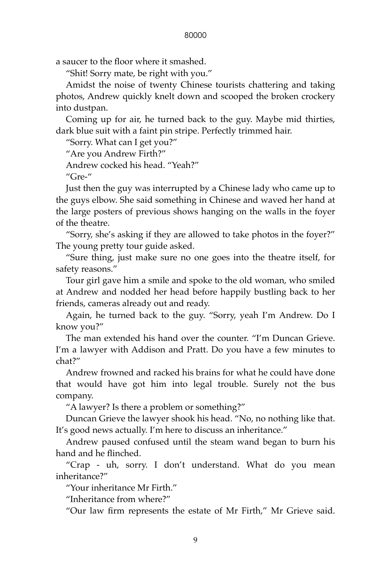a saucer to the floor where it smashed.

"Shit! Sorry mate, be right with you."

Amidst the noise of twenty Chinese tourists chattering and taking photos, Andrew quickly knelt down and scooped the broken crockery into dustpan.

Coming up for air, he turned back to the guy. Maybe mid thirties, dark blue suit with a faint pin stripe. Perfectly trimmed hair.

"Sorry. What can I get you?"

"Are you Andrew Firth?"

Andrew cocked his head. "Yeah?"

"Gre-"

Just then the guy was interrupted by a Chinese lady who came up to the guys elbow. She said something in Chinese and waved her hand at the large posters of previous shows hanging on the walls in the foyer of the theatre.

"Sorry, she's asking if they are allowed to take photos in the foyer?" The young pretty tour guide asked.

"Sure thing, just make sure no one goes into the theatre itself, for safety reasons."

Tour girl gave him a smile and spoke to the old woman, who smiled at Andrew and nodded her head before happily bustling back to her friends, cameras already out and ready.

Again, he turned back to the guy. "Sorry, yeah I'm Andrew. Do I know you?"

The man extended his hand over the counter. "I'm Duncan Grieve. I'm a lawyer with Addison and Pratt. Do you have a few minutes to chat?"

Andrew frowned and racked his brains for what he could have done that would have got him into legal trouble. Surely not the bus company.

"A lawyer? Is there a problem or something?"

Duncan Grieve the lawyer shook his head. "No, no nothing like that. It's good news actually. I'm here to discuss an inheritance."

Andrew paused confused until the steam wand began to burn his hand and he flinched.

"Crap - uh, sorry. I don't understand. What do you mean inheritance?"

"Your inheritance Mr Firth."

"Inheritance from where?"

"Our law firm represents the estate of Mr Firth," Mr Grieve said.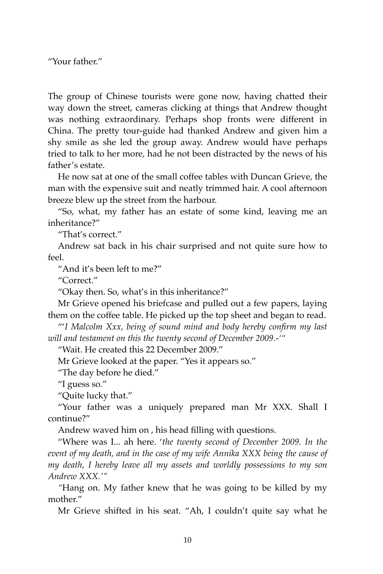"Your father."

The group of Chinese tourists were gone now, having chatted their way down the street, cameras clicking at things that Andrew thought was nothing extraordinary. Perhaps shop fronts were different in China. The pretty tour-guide had thanked Andrew and given him a shy smile as she led the group away. Andrew would have perhaps tried to talk to her more, had he not been distracted by the news of his father's estate.

He now sat at one of the small coffee tables with Duncan Grieve, the man with the expensive suit and neatly trimmed hair. A cool afternoon breeze blew up the street from the harbour.

"So, what, my father has an estate of some kind, leaving me an inheritance?"

"That's correct."

Andrew sat back in his chair surprised and not quite sure how to feel.

"And it's been left to me?"

"Correct."

"Okay then. So, what's in this inheritance?"

Mr Grieve opened his briefcase and pulled out a few papers, laying them on the coffee table. He picked up the top sheet and began to read.

"'*I Malcolm Xxx, being of sound mind and body hereby confirm my last will and testament on this the twenty second of December 2009.-'"*

"Wait. He created this 22 December 2009."

Mr Grieve looked at the paper. "Yes it appears so."

"The day before he died."

"I guess so."

"Quite lucky that."

"Your father was a uniquely prepared man Mr XXX. Shall I continue?"

Andrew waved him on , his head filling with questions.

"Where was I... ah here. '*the twenty second of December 2009. In the event of my death, and in the case of my wife Annika XXX being the cause of my death, I hereby leave all my assets and worldly possessions to my son Andrew XXX.'"*

*"*Hang on. My father knew that he was going to be killed by my mother."

Mr Grieve shifted in his seat. "Ah, I couldn't quite say what he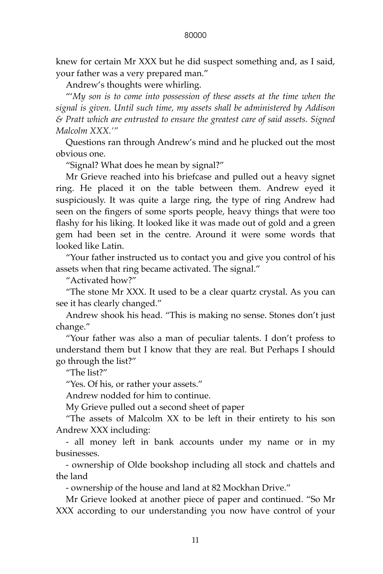knew for certain Mr XXX but he did suspect something and, as I said, your father was a very prepared man."

Andrew's thoughts were whirling.

"'*My son is to come into possession of these assets at the time when the signal is given. Until such time, my assets shall be administered by Addison & Pratt which are entrusted to ensure the greatest care of said assets. Signed Malcolm XXX.'"*

Questions ran through Andrew's mind and he plucked out the most obvious one.

"Signal? What does he mean by signal?"

Mr Grieve reached into his briefcase and pulled out a heavy signet ring. He placed it on the table between them. Andrew eyed it suspiciously. It was quite a large ring, the type of ring Andrew had seen on the fingers of some sports people, heavy things that were too flashy for his liking. It looked like it was made out of gold and a green gem had been set in the centre. Around it were some words that looked like Latin.

"Your father instructed us to contact you and give you control of his assets when that ring became activated. The signal."

"Activated how?"

"The stone Mr XXX. It used to be a clear quartz crystal. As you can see it has clearly changed."

Andrew shook his head. "This is making no sense. Stones don't just change."

"Your father was also a man of peculiar talents. I don't profess to understand them but I know that they are real. But Perhaps I should go through the list?"

"The list?"

"Yes. Of his, or rather your assets."

Andrew nodded for him to continue.

My Grieve pulled out a second sheet of paper

"The assets of Malcolm XX to be left in their entirety to his son Andrew XXX including:

- all money left in bank accounts under my name or in my businesses.

- ownership of Olde bookshop including all stock and chattels and the land

- ownership of the house and land at 82 Mockhan Drive."

Mr Grieve looked at another piece of paper and continued. "So Mr XXX according to our understanding you now have control of your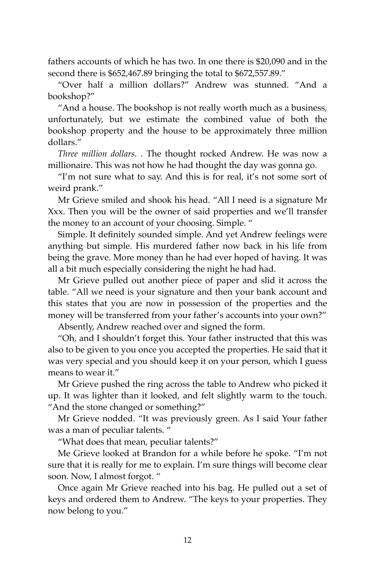fathers accounts of which he has two. In one there is \$20,090 and in the second there is \$652,467.89 bringing the total to \$672,557.89."

"Over half a million dollars?" Andrew was stunned. "And a bookshop?"

"And a house. The bookshop is not really worth much as a business, unfortunately, but we estimate the combined value of both the bookshop property and the house to be approximately three million dollars."

*Three million dollars.* . The thought rocked Andrew. He was now a millionaire. This was not how he had thought the day was gonna go.

"I'm not sure what to say. And this is for real, it's not some sort of weird prank."

Mr Grieve smiled and shook his head. "All I need is a signature Mr Xxx. Then you will be the owner of said properties and we'll transfer the money to an account of your choosing. Simple. "

Simple. It definitely sounded simple. And yet Andrew feelings were anything but simple. His murdered father now back in his life from being the grave. More money than he had ever hoped of having. It was all a bit much especially considering the night he had had.

Mr Grieve pulled out another piece of paper and slid it across the table. "All we need is your signature and then your bank account and this states that you are now in possession of the properties and the money will be transferred from your father's accounts into your own?"

Absently, Andrew reached over and signed the form.

"Oh, and I shouldn't forget this. Your father instructed that this was also to be given to you once you accepted the properties. He said that it was very special and you should keep it on your person, which I guess means to wear it."

Mr Grieve pushed the ring across the table to Andrew who picked it up. It was lighter than it looked, and felt slightly warm to the touch. "And the stone changed or something?"

Mr Grieve nodded. "It was previously green. As I said Your father was a man of peculiar talents. "

"What does that mean, peculiar talents?"

Me Grieve looked at Brandon for a while before he spoke. "I'm not sure that it is really for me to explain. I'm sure things will become clear soon. Now, I almost forgot. "

Once again Mr Grieve reached into his bag. He pulled out a set of keys and ordered them to Andrew. "The keys to your properties. They now belong to you."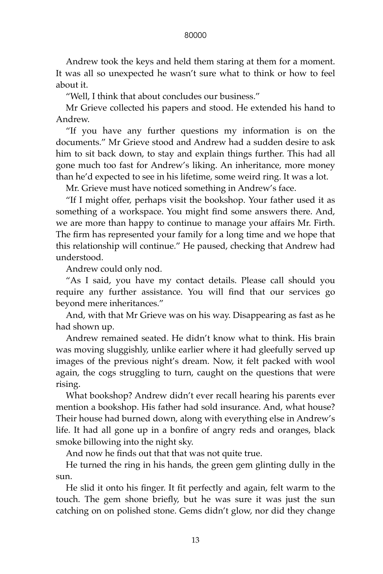Andrew took the keys and held them staring at them for a moment. It was all so unexpected he wasn't sure what to think or how to feel about it.

"Well, I think that about concludes our business."

Mr Grieve collected his papers and stood. He extended his hand to Andrew.

"If you have any further questions my information is on the documents." Mr Grieve stood and Andrew had a sudden desire to ask him to sit back down, to stay and explain things further. This had all gone much too fast for Andrew's liking. An inheritance, more money than he'd expected to see in his lifetime, some weird ring. It was a lot.

Mr. Grieve must have noticed something in Andrew's face.

"If I might offer, perhaps visit the bookshop. Your father used it as something of a workspace. You might find some answers there. And, we are more than happy to continue to manage your affairs Mr. Firth. The firm has represented your family for a long time and we hope that this relationship will continue." He paused, checking that Andrew had understood.

Andrew could only nod.

"As I said, you have my contact details. Please call should you require any further assistance. You will find that our services go beyond mere inheritances."

And, with that Mr Grieve was on his way. Disappearing as fast as he had shown up.

Andrew remained seated. He didn't know what to think. His brain was moving sluggishly, unlike earlier where it had gleefully served up images of the previous night's dream. Now, it felt packed with wool again, the cogs struggling to turn, caught on the questions that were rising.

What bookshop? Andrew didn't ever recall hearing his parents ever mention a bookshop. His father had sold insurance. And, what house? Their house had burned down, along with everything else in Andrew's life. It had all gone up in a bonfire of angry reds and oranges, black smoke billowing into the night sky.

And now he finds out that that was not quite true.

He turned the ring in his hands, the green gem glinting dully in the sun.

He slid it onto his finger. It fit perfectly and again, felt warm to the touch. The gem shone briefly, but he was sure it was just the sun catching on on polished stone. Gems didn't glow, nor did they change